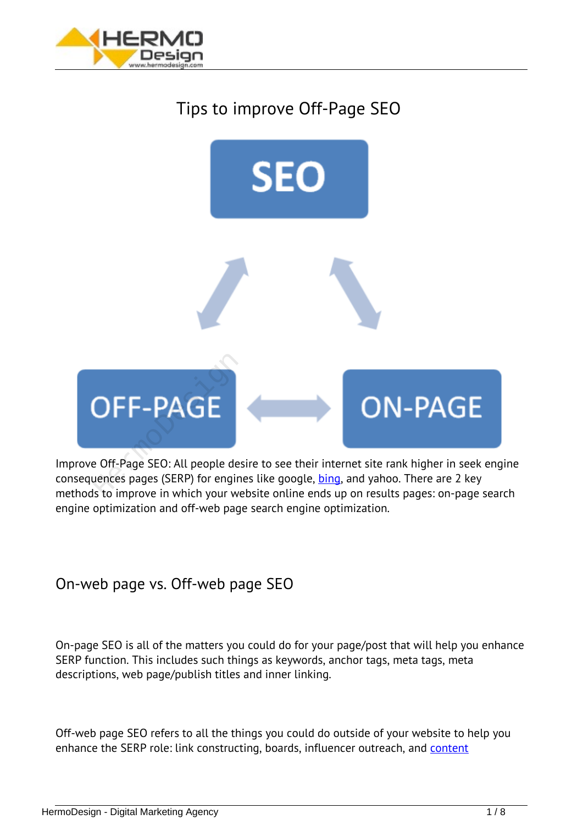

# *Tips to improve Off-Page SEO*



*Improve Off-Page SEO: All people desire to see their internet site rank higher in seek engine consequences pages (SERP) for engines like google, [bing,](http://www.bing.com/) and yahoo. There are 2 key methods to improve in which your website online ends up on results pages: on-page search engine optimization and off-web page search engine optimization.*

## *On-web page vs. Off-web page SEO*

*On-page SEO is all of the matters you could do for your page/post that will help you enhance SERP function. This includes such things as keywords, anchor tags, meta tags, meta descriptions, web page/publish titles and inner linking.*

*Off-web page SEO refers to all the things you could do outside of your website to help you enhance the SERP role: link constructing, boards, influencer outreach, and [content](/content/)*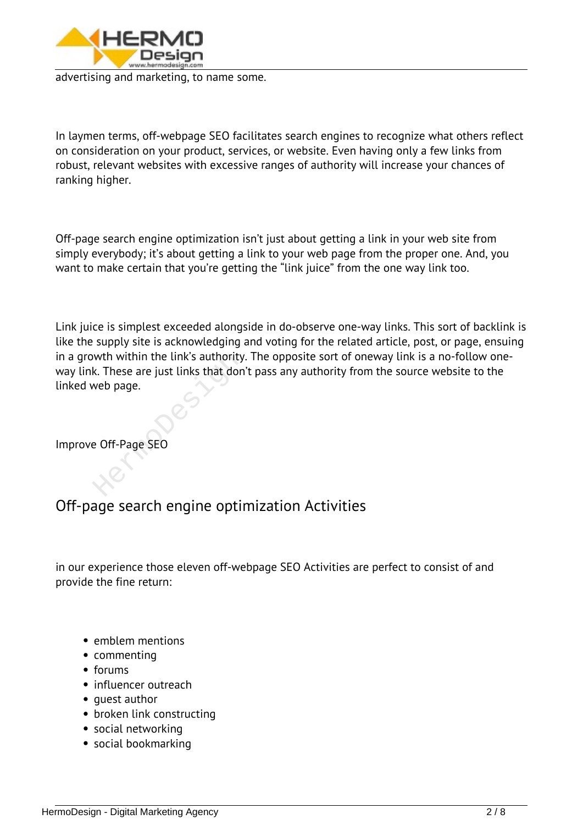

*advertising and marketing, to name some.*

*In laymen terms, off-webpage SEO facilitates search engines to recognize what others reflect on consideration on your product, services, or website. Even having only a few links from robust, relevant websites with excessive ranges of authority will increase your chances of ranking higher.*

*Off-page search engine optimization isn't just about getting a link in your web site from simply everybody; it's about getting a link to your web page from the proper one. And, you want to make certain that you're getting the "link juice" from the one way link too.*

*Link juice is simplest exceeded alongside in do-observe one-way links. This sort of backlink is like the supply site is acknowledging and voting for the related article, post, or page, ensuing in a growth within the link's authority. The opposite sort of oneway link is a no-follow oneway link. These are just links that don't pass any authority from the source website to the linked web page.* wth within the link's authority.<br>k. These are just links that don<br>web page.<br>e Off-Page SEO

*Improve Off-Page SEO*

## *Off-page search engine optimization Activities*

*in our experience those eleven off-webpage SEO Activities are perfect to consist of and provide the fine return:*

- *emblem mentions*
- *commenting*
- *forums*
- *influencer outreach*
- quest author
- *broken link constructing*
- *social networking*
- *social bookmarking*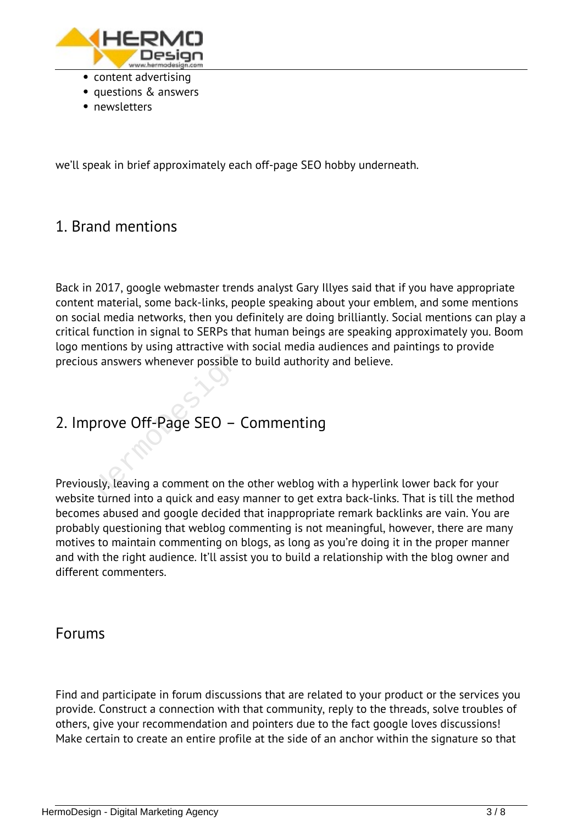

- *questions & answers*
- *newsletters*

*we'll speak in brief approximately each off-page SEO hobby underneath.*

#### *1. Brand mentions*

*Back in 2017, google webmaster trends analyst Gary Illyes said that if you have appropriate content material, some back-links, people speaking about your emblem, and some mentions on social media networks, then you definitely are doing brilliantly. Social mentions can play a critical function in signal to SERPs that human beings are speaking approximately you. Boom logo mentions by using attractive with social media audiences and paintings to provide precious answers whenever possible to build authority and believe.*

# *2. Improve Off-Page SEO – Commenting*

*Previously, leaving a comment on the other weblog with a hyperlink lower back for your website turned into a quick and easy manner to get extra back-links. That is till the method becomes abused and google decided that inappropriate remark backlinks are vain. You are probably questioning that weblog commenting is not meaningful, however, there are many motives to maintain commenting on blogs, as long as you're doing it in the proper manner and with the right audience. It'll assist you to build a relationship with the blog owner and different commenters.* s answers whenever possible to<br>Drove Off-Page SEO – C<br>Sly, leaving a comment on the

#### *Forums*

*Find and participate in forum discussions that are related to your product or the services you provide. Construct a connection with that community, reply to the threads, solve troubles of others, give your recommendation and pointers due to the fact google loves discussions! Make certain to create an entire profile at the side of an anchor within the signature so that*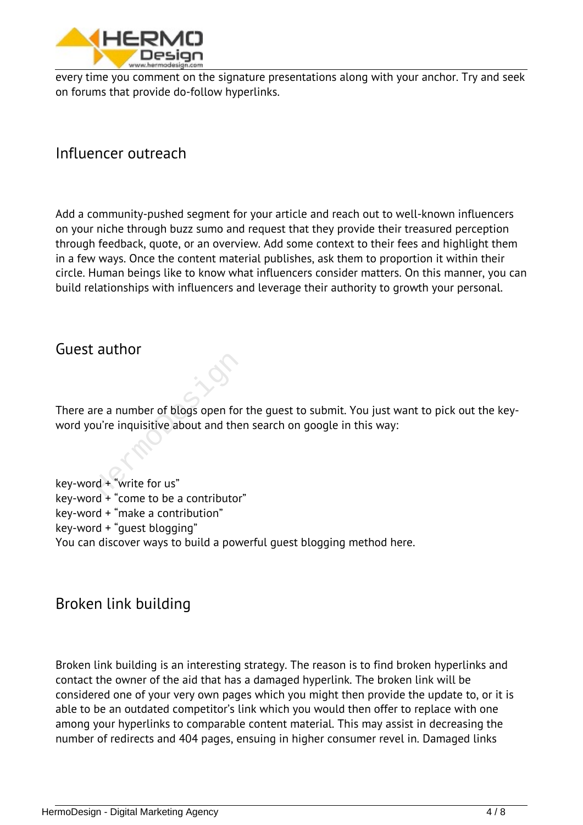

*every time you comment on the signature presentations along with your anchor. Try and seek on forums that provide do-follow hyperlinks.*

*Influencer outreach*

*Add a community-pushed segment for your article and reach out to well-known influencers on your niche through buzz sumo and request that they provide their treasured perception through feedback, quote, or an overview. Add some context to their fees and highlight them in a few ways. Once the content material publishes, ask them to proportion it within their circle. Human beings like to know what influencers consider matters. On this manner, you can build relationships with influencers and leverage their authority to growth your personal.*

*Guest author*

*There are a number of blogs open for the guest to submit. You just want to pick out the keyword you're inquisitive about and then search on google in this way:* re a number of blogs open for<br>
ou're inquisitive about and then<br>
rd + "write for us"<br>
rd + "write for us"

*key-word + "write for us" key-word + "come to be a contributor" key-word + "make a contribution" key-word + "guest blogging" You can discover ways to build a powerful guest blogging method here.*

*Broken link building*

*Broken link building is an interesting strategy. The reason is to find broken hyperlinks and contact the owner of the aid that has a damaged hyperlink. The broken link will be considered one of your very own pages which you might then provide the update to, or it is able to be an outdated competitor's link which you would then offer to replace with one among your hyperlinks to comparable content material. This may assist in decreasing the number of redirects and 404 pages, ensuing in higher consumer revel in. Damaged links*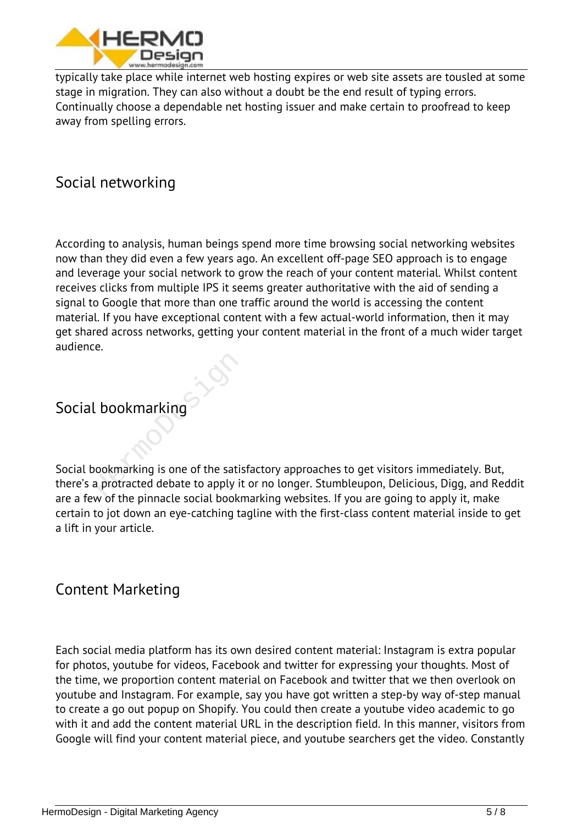

*typically take place while internet web hosting expires or web site assets are tousled at some stage in migration. They can also without a doubt be the end result of typing errors. Continually choose a dependable net hosting issuer and make certain to proofread to keep away from spelling errors.*

#### *Social networking*

*According to analysis, human beings spend more time browsing social networking websites now than they did even a few years ago. An excellent off-page SEO approach is to engage and leverage your social network to grow the reach of your content material. Whilst content receives clicks from multiple IPS it seems greater authoritative with the aid of sending a signal to Google that more than one traffic around the world is accessing the content material. If you have exceptional content with a few actual-world information, then it may get shared across networks, getting your content material in the front of a much wider target audience.*

# *Social bookmarking*

*Social bookmarking is one of the satisfactory approaches to get visitors immediately. But, there's a protracted debate to apply it or no longer. Stumbleupon, Delicious, Digg, and Reddit are a few of the pinnacle social bookmarking websites. If you are going to apply it, make certain to jot down an eye-catching tagline with the first-class content material inside to get a lift in your article.* L bookmarking

#### *Content Marketing*

*Each social media platform has its own desired content material: Instagram is extra popular for photos, youtube for videos, Facebook and twitter for expressing your thoughts. Most of the time, we proportion content material on Facebook and twitter that we then overlook on youtube and Instagram. For example, say you have got written a step-by way of-step manual to create a go out popup on Shopify. You could then create a youtube video academic to go with it and add the content material URL in the description field. In this manner, visitors from Google will find your content material piece, and youtube searchers get the video. Constantly*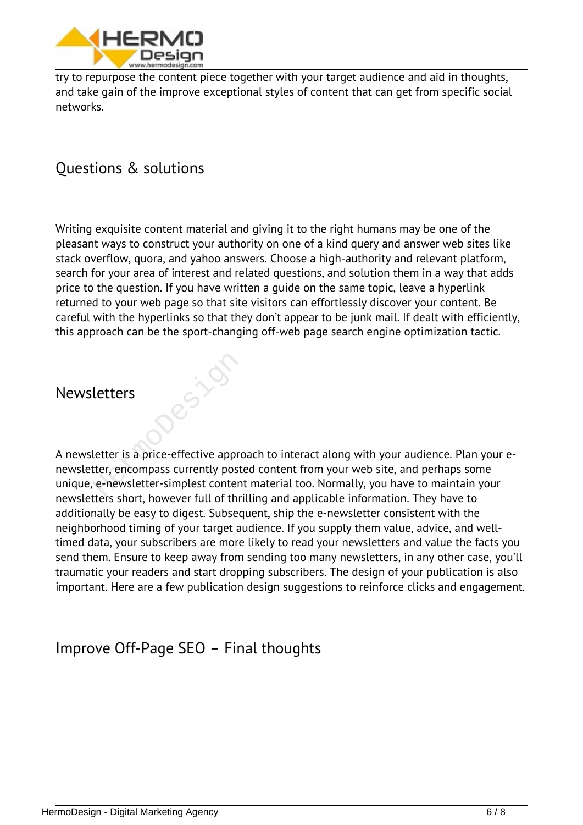

*try to repurpose the content piece together with your target audience and aid in thoughts, and take gain of the improve exceptional styles of content that can get from specific social networks.*

# *Questions & solutions*

*Writing exquisite content material and giving it to the right humans may be one of the pleasant ways to construct your authority on one of a kind query and answer web sites like stack overflow, quora, and yahoo answers. Choose a high-authority and relevant platform, search for your area of interest and related questions, and solution them in a way that adds price to the question. If you have written a guide on the same topic, leave a hyperlink returned to your web page so that site visitors can effortlessly discover your content. Be careful with the hyperlinks so that they don't appear to be junk mail. If dealt with efficiently, this approach can be the sport-changing off-web page search engine optimization tactic.*

#### *Newsletters*

*A newsletter is a price-effective approach to interact along with your audience. Plan your enewsletter, encompass currently posted content from your web site, and perhaps some unique, e-newsletter-simplest content material too. Normally, you have to maintain your newsletters short, however full of thrilling and applicable information. They have to additionally be easy to digest. Subsequent, ship the e-newsletter consistent with the neighborhood timing of your target audience. If you supply them value, advice, and welltimed data, your subscribers are more likely to read your newsletters and value the facts you send them. Ensure to keep away from sending too many newsletters, in any other case, you'll traumatic your readers and start dropping subscribers. The design of your publication is also important. Here are a few publication design suggestions to reinforce clicks and engagement.* Letters<br>Letter is a price-effective approxiter, encompass currently poster<br>e-newsletter-simplest content

## *Improve Off-Page SEO – Final thoughts*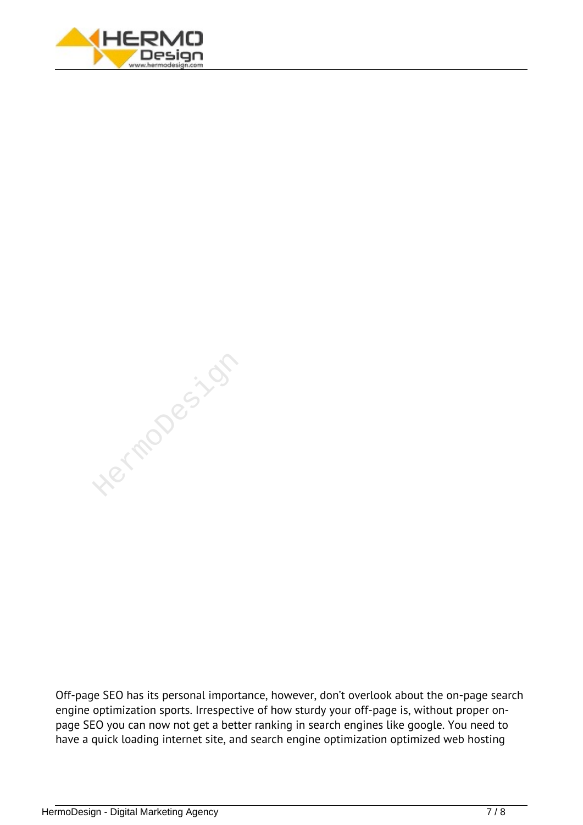

Hermodesizon

*Off-page SEO has its personal importance, however, don't overlook about the on-page search engine optimization sports. Irrespective of how sturdy your off-page is, without proper onpage SEO you can now not get a better ranking in search engines like google. You need to have a quick loading internet site, and search engine optimization optimized web hosting*